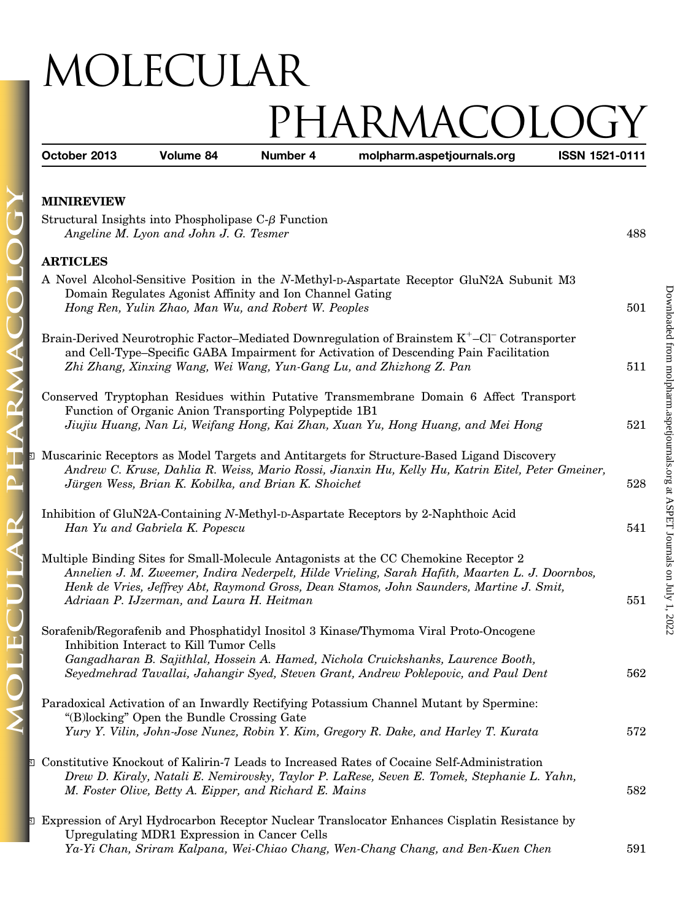## MOLECULAR PHARMACOLOGY

| October 2013      | Volume 84                                                                                                       | Number 4 | molpharm.aspetjournals.org                                                                                                                                                                                                                                                           | ISSN 1521-0111 |
|-------------------|-----------------------------------------------------------------------------------------------------------------|----------|--------------------------------------------------------------------------------------------------------------------------------------------------------------------------------------------------------------------------------------------------------------------------------------|----------------|
| <b>MINIREVIEW</b> |                                                                                                                 |          |                                                                                                                                                                                                                                                                                      |                |
|                   | Structural Insights into Phospholipase $C-\beta$ Function<br>Angeline M. Lyon and John J. G. Tesmer             |          |                                                                                                                                                                                                                                                                                      | 488            |
| <b>ARTICLES</b>   |                                                                                                                 |          |                                                                                                                                                                                                                                                                                      |                |
|                   |                                                                                                                 |          | A Novel Alcohol-Sensitive Position in the N-Methyl-D-Aspartate Receptor GluN2A Subunit M3                                                                                                                                                                                            |                |
|                   | Domain Regulates Agonist Affinity and Ion Channel Gating<br>Hong Ren, Yulin Zhao, Man Wu, and Robert W. Peoples |          |                                                                                                                                                                                                                                                                                      | 501            |
|                   |                                                                                                                 |          | Brain-Derived Neurotrophic Factor-Mediated Downregulation of Brainstem K <sup>+</sup> -Cl <sup>-</sup> Cotransporter<br>and Cell-Type-Specific GABA Impairment for Activation of Descending Pain Facilitation<br>Zhi Zhang, Xinxing Wang, Wei Wang, Yun-Gang Lu, and Zhizhong Z. Pan | 511            |
|                   |                                                                                                                 |          |                                                                                                                                                                                                                                                                                      |                |
|                   | Function of Organic Anion Transporting Polypeptide 1B1                                                          |          | Conserved Tryptophan Residues within Putative Transmembrane Domain 6 Affect Transport                                                                                                                                                                                                |                |
|                   |                                                                                                                 |          | Jiujiu Huang, Nan Li, Weifang Hong, Kai Zhan, Xuan Yu, Hong Huang, and Mei Hong                                                                                                                                                                                                      | 521            |
|                   | Jürgen Wess, Brian K. Kobilka, and Brian K. Shoichet                                                            |          | <b>E</b> Muscarinic Receptors as Model Targets and Antitargets for Structure-Based Ligand Discovery<br>Andrew C. Kruse, Dahlia R. Weiss, Mario Rossi, Jianxin Hu, Kelly Hu, Katrin Eitel, Peter Gmeiner,                                                                             | 528            |
|                   | Han Yu and Gabriela K. Popescu                                                                                  |          | Inhibition of GluN2A-Containing N-Methyl-D-Aspartate Receptors by 2-Naphthoic Acid                                                                                                                                                                                                   | 541            |
|                   | Adriaan P. IJzerman, and Laura H. Heitman                                                                       |          | Multiple Binding Sites for Small-Molecule Antagonists at the CC Chemokine Receptor 2<br>Annelien J. M. Zweemer, Indira Nederpelt, Hilde Vrieling, Sarah Hafith, Maarten L. J. Doornbos,<br>Henk de Vries, Jeffrey Abt, Raymond Gross, Dean Stamos, John Saunders, Martine J. Smit,   | 551            |
|                   | Inhibition Interact to Kill Tumor Cells                                                                         |          | Sorafenib/Regorafenib and Phosphatidyl Inositol 3 Kinase/Thymoma Viral Proto-Oncogene                                                                                                                                                                                                |                |
|                   |                                                                                                                 |          | Gangadharan B. Sajithlal, Hossein A. Hamed, Nichola Cruickshanks, Laurence Booth,<br>Seyedmehrad Tavallai, Jahangir Syed, Steven Grant, Andrew Poklepovic, and Paul Dent                                                                                                             | 562            |
|                   | "(B)locking" Open the Bundle Crossing Gate                                                                      |          | Paradoxical Activation of an Inwardly Rectifying Potassium Channel Mutant by Spermine:                                                                                                                                                                                               |                |
|                   |                                                                                                                 |          | Yury Y. Vilin, John-Jose Nunez, Robin Y. Kim, Gregory R. Dake, and Harley T. Kurata                                                                                                                                                                                                  | 572            |
|                   | M. Foster Olive, Betty A. Eipper, and Richard E. Mains                                                          |          | <b>El Constitutive Knockout of Kalirin-7 Leads to Increased Rates of Cocaine Self-Administration</b><br>Drew D. Kiraly, Natali E. Nemirovsky, Taylor P. LaRese, Seven E. Tomek, Stephanie L. Yahn,                                                                                   | 582            |
|                   | Upregulating MDR1 Expression in Cancer Cells                                                                    |          | <b>Expression of Aryl Hydrocarbon Receptor Nuclear Translocator Enhances Cisplatin Resistance by</b>                                                                                                                                                                                 |                |
|                   |                                                                                                                 |          | Ya-Yi Chan, Sriram Kalpana, Wei-Chiao Chang, Wen-Chang Chang, and Ben-Kuen Chen                                                                                                                                                                                                      | 591            |

ARM

 $\overline{\mathsf{D}}$ 

 $\mathbf{\alpha}$